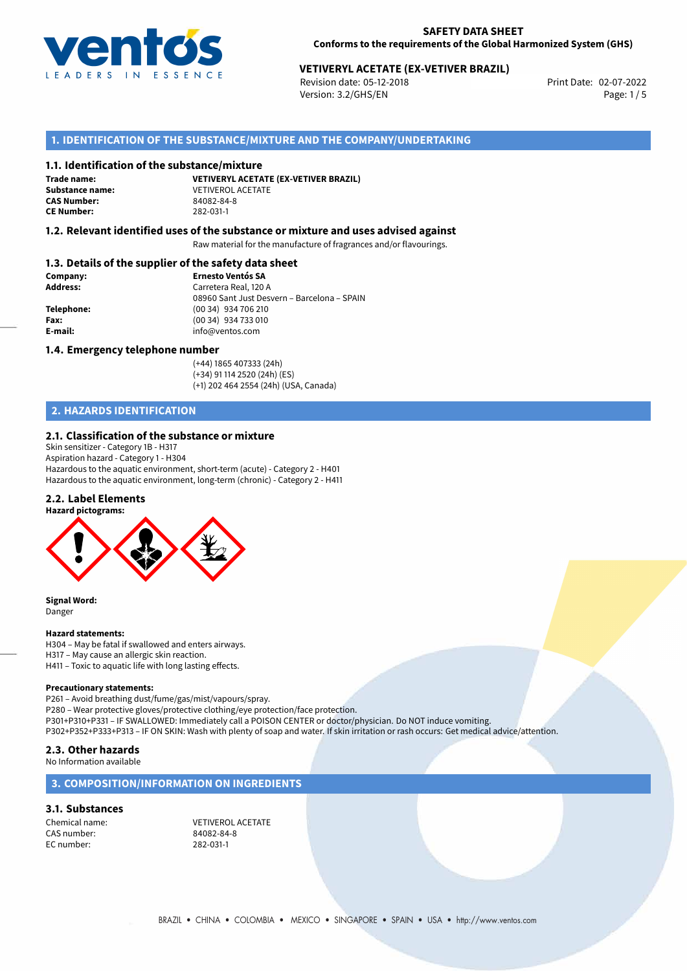

# **VETIVERYL ACETATE (EX-VETIVER BRAZIL)**<br>Revision date: 05-12-2018<br>Print Date: 02-07-2022

Revision date: 05-12-2018 Version: 3.2/GHS/EN Page: 1/5

## **1. IDENTIFICATION OF THE SUBSTANCE/MIXTURE AND THE COMPANY/UNDERTAKING**

#### **1.1. Identification of the substance/mixture**

**Trade name: CAS Number: CE Number:** 282-031-1

**VETIVERYL ACETATE (EX-VETIVER BRAZIL) Substance name:** VETIVEROL ACETATE<br> **CAS Number:** 84082-84-8

## **1.2. Relevant identified uses of the substance or mixture and uses advised against**

Raw material for the manufacture of fragrances and/or flavourings.

## **1.3. Details of the supplier of the safety data sheet**

| Company:        | <b>Ernesto Ventós SA</b>                    |  |
|-----------------|---------------------------------------------|--|
| <b>Address:</b> | Carretera Real, 120 A                       |  |
|                 | 08960 Sant Just Desvern - Barcelona - SPAIN |  |
| Telephone:      | (00 34) 934 706 210                         |  |
| Fax:            | (00 34) 934 733 010                         |  |
| E-mail:         | info@ventos.com                             |  |
|                 |                                             |  |

#### **1.4. Emergency telephone number**

(+44) 1865 407333 (24h) (+34) 91 114 2520 (24h) (ES) (+1) 202 464 2554 (24h) (USA, Canada)

# **2. HAZARDS IDENTIFICATION**

#### **2.1. Classification of the substance or mixture**

Skin sensitizer - Category 1B - H317 Aspiration hazard - Category 1 - H304 Hazardous to the aquatic environment, short-term (acute) - Category 2 - H401 Hazardous to the aquatic environment, long-term (chronic) - Category 2 - H411

#### **2.2. Label Elements**



**Signal Word:** Danger

#### **Hazard statements:**

H304 – May be fatal if swallowed and enters airways. H317 – May cause an allergic skin reaction. H411 – Toxic to aquatic life with long lasting effects.

#### **Precautionary statements:**

P261 – Avoid breathing dust/fume/gas/mist/vapours/spray. P280 – Wear protective gloves/protective clothing/eye protection/face protection. P301+P310+P331 – IF SWALLOWED: Immediately call a POISON CENTER or doctor/physician. Do NOT induce vomiting. P302+P352+P333+P313 – IF ON SKIN: Wash with plenty of soap and water. If skin irritation or rash occurs: Get medical advice/attention.

# **2.3. Other hazards**

No Information available

### **3. COMPOSITION/INFORMATION ON INGREDIENTS**

## **3.1. Substances**

CAS number: 84082-84-8 EC number:

Chemical name: VETIVEROL ACETATE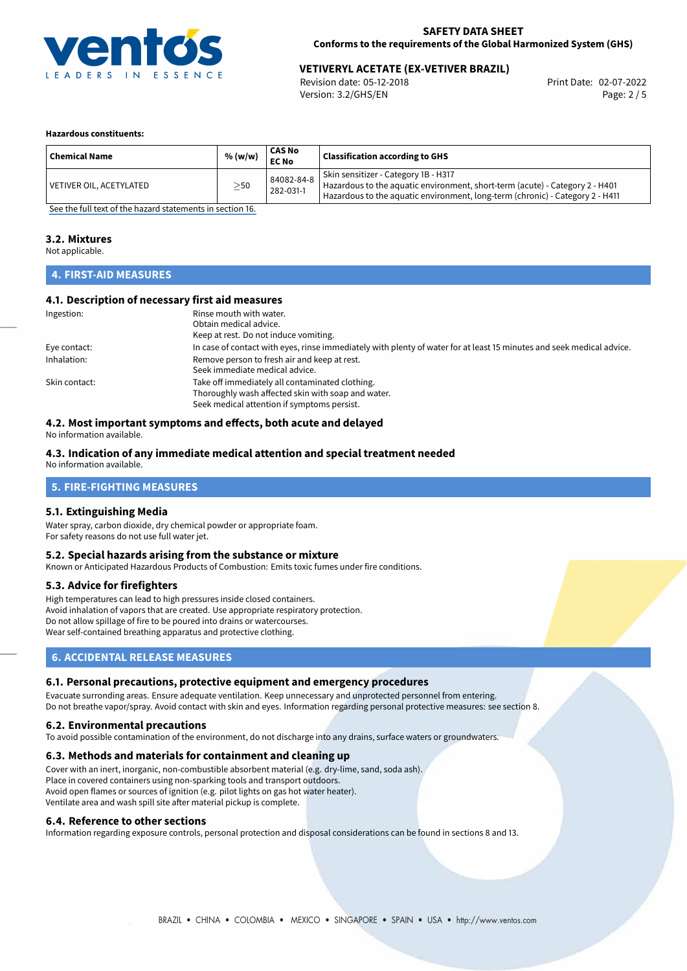

# **VETIVERYL ACETATE (EX-VETIVER BRAZIL)**<br>Revision date: 05-12-2018<br>Print Date: 02-07-2022

Revision date: 05-12-2018 Version: 3.2/GHS/EN Page: 2 / 5

#### **Hazardous constituents:**

| <b>Chemical Name</b>    | % (w/w)   | <b>CAS No</b><br><b>EC No</b> | Classification according to GHS                                                                                                                                                                       |
|-------------------------|-----------|-------------------------------|-------------------------------------------------------------------------------------------------------------------------------------------------------------------------------------------------------|
| VETIVER OIL, ACETYLATED | $\geq$ 50 | 84082-84-8<br>282-031-1       | Skin sensitizer - Category 1B - H317<br>Hazardous to the aquatic environment, short-term (acute) - Category 2 - H401<br>Hazardous to the aquatic environment, long-term (chronic) - Category 2 - H411 |

[See the full text of the hazard statements in section 16.](#page-4-0)

#### **3.2. Mixtures**

Not applicable.

## **4. FIRST-AID MEASURES**

#### **4.1. Description of necessary first aid measures**

| Ingestion:    | Rinse mouth with water.                                                                                               |
|---------------|-----------------------------------------------------------------------------------------------------------------------|
|               | Obtain medical advice.                                                                                                |
|               | Keep at rest. Do not induce vomiting.                                                                                 |
| Eye contact:  | In case of contact with eyes, rinse immediately with plenty of water for at least 15 minutes and seek medical advice. |
| Inhalation:   | Remove person to fresh air and keep at rest.                                                                          |
|               | Seek immediate medical advice.                                                                                        |
| Skin contact: | Take off immediately all contaminated clothing.                                                                       |
|               | Thoroughly wash affected skin with soap and water.                                                                    |
|               | Seek medical attention if symptoms persist.                                                                           |

## **4.2. Most important symptoms and effects, both acute and delayed**

No information available.

#### **4.3. Indication of any immediate medical attention and special treatment needed**

No information available.

## **5. FIRE-FIGHTING MEASURES**

#### **5.1. Extinguishing Media**

Water spray, carbon dioxide, dry chemical powder or appropriate foam. For safety reasons do not use full water jet.

### **5.2. Special hazards arising from the substance or mixture**

Known or Anticipated Hazardous Products of Combustion: Emits toxic fumes under fire conditions.

#### **5.3. Advice for firefighters**

High temperatures can lead to high pressures inside closed containers. Avoid inhalation of vapors that are created. Use appropriate respiratory protection. Do not allow spillage of fire to be poured into drains or watercourses. Wear self-contained breathing apparatus and protective clothing.

## **6. ACCIDENTAL RELEASE MEASURES**

#### **6.1. Personal precautions, protective equipment and emergency procedures**

Evacuate surronding areas. Ensure adequate ventilation. Keep unnecessary and unprotected personnel from entering. Do not breathe vapor/spray. Avoid contact with skin and eyes. Information regarding personal protective measures: see section 8.

#### **6.2. Environmental precautions**

To avoid possible contamination of the environment, do not discharge into any drains, surface waters or groundwaters.

#### **6.3. Methods and materials for containment and cleaning up**

Cover with an inert, inorganic, non-combustible absorbent material (e.g. dry-lime, sand, soda ash). Place in covered containers using non-sparking tools and transport outdoors. Avoid open flames or sources of ignition (e.g. pilot lights on gas hot water heater). Ventilate area and wash spill site after material pickup is complete.

#### **6.4. Reference to other sections**

Information regarding exposure controls, personal protection and disposal considerations can be found in sections 8 and 13.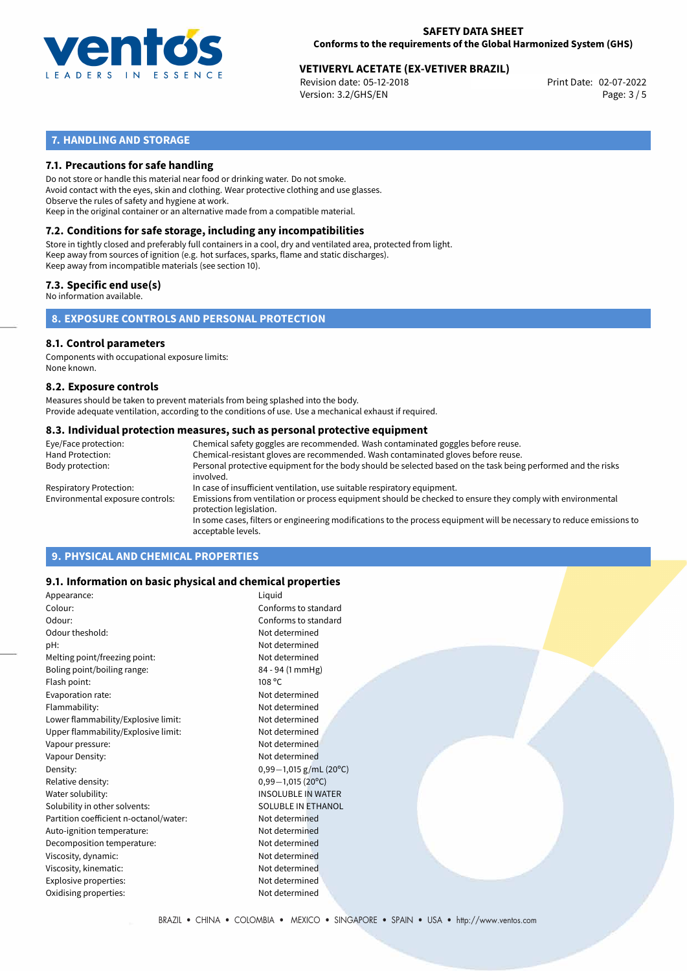

# **VETIVERYL ACETATE (EX-VETIVER BRAZIL)**<br>Revision date: 05-12-2018<br>Print Date: 02-07-2022

Revision date: 05-12-2018 Version: 3.2/GHS/EN Page: 3 / 5

## **7. HANDLING AND STORAGE**

## **7.1. Precautions for safe handling**

Do not store or handle this material near food or drinking water. Do not smoke. Avoid contact with the eyes, skin and clothing. Wear protective clothing and use glasses. Observe the rules of safety and hygiene at work. Keep in the original container or an alternative made from a compatible material.

# **7.2. Conditions for safe storage, including any incompatibilities**

Store in tightly closed and preferably full containers in a cool, dry and ventilated area, protected from light. Keep away from sources of ignition (e.g. hot surfaces, sparks, flame and static discharges). Keep away from incompatible materials (see section 10).

## **7.3. Specific end use(s)**

No information available.

**8. EXPOSURE CONTROLS AND PERSONAL PROTECTION**

#### **8.1. Control parameters**

Components with occupational exposure limits: None known.

#### **8.2. Exposure controls**

Measures should be taken to prevent materials from being splashed into the body. Provide adequate ventilation, according to the conditions of use. Use a mechanical exhaust if required.

#### **8.3. Individual protection measures, such as personal protective equipment**

| Eye/Face protection:             | Chemical safety goggles are recommended. Wash contaminated goggles before reuse.                                                            |
|----------------------------------|---------------------------------------------------------------------------------------------------------------------------------------------|
| Hand Protection:                 | Chemical-resistant gloves are recommended. Wash contaminated gloves before reuse.                                                           |
| Body protection:                 | Personal protective equipment for the body should be selected based on the task being performed and the risks<br>involved.                  |
| Respiratory Protection:          | In case of insufficient ventilation, use suitable respiratory equipment.                                                                    |
| Environmental exposure controls: | Emissions from ventilation or process equipment should be checked to ensure they comply with environmental<br>protection legislation.       |
|                                  | In some cases, filters or engineering modifications to the process equipment will be necessary to reduce emissions to<br>acceptable levels. |
|                                  |                                                                                                                                             |

## **9. PHYSICAL AND CHEMICAL PROPERTIES**

## **9.1. Information on basic physical and chemical properties**

| Appearance:                            | Liquid                    |
|----------------------------------------|---------------------------|
| Colour:                                | Conforms to standard      |
| Odour:                                 | Conforms to standard      |
| Odour theshold:                        | Not determined            |
| pH:                                    | Not determined            |
| Melting point/freezing point:          | Not determined            |
| Boling point/boiling range:            | 84 - 94 (1 mmHg)          |
| Flash point:                           | 108 °C                    |
| Evaporation rate:                      | Not determined            |
| Flammability:                          | Not determined            |
| Lower flammability/Explosive limit:    | Not determined            |
| Upper flammability/Explosive limit:    | Not determined            |
| Vapour pressure:                       | Not determined            |
| Vapour Density:                        | Not determined            |
| Density:                               | $0,99-1,015$ g/mL (20°C)  |
| Relative density:                      | $0,99-1,015(20^{\circ}C)$ |
| Water solubility:                      | <b>INSOLUBLE IN WATER</b> |
| Solubility in other solvents:          | SOLUBLE IN ETHANOL        |
| Partition coefficient n-octanol/water: | Not determined            |
| Auto-ignition temperature:             | Not determined            |
| Decomposition temperature:             | Not determined            |
| Viscosity, dynamic:                    | Not determined            |
| Viscosity, kinematic:                  | Not determined            |
| Explosive properties:                  | Not determined            |
| Oxidising properties:                  | Not determined            |
|                                        |                           |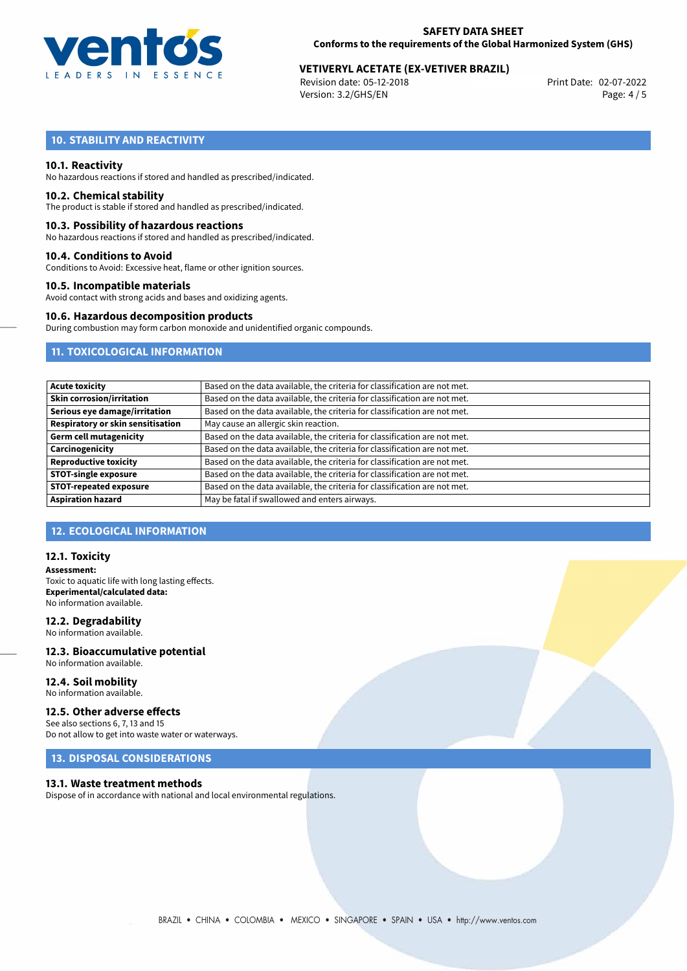

# **VETIVERYL ACETATE (EX-VETIVER BRAZIL)**<br>Revision date: 05-12-2018<br>Print Date: 02-07-2022

Revision date: 05-12-2018 Version: 3.2/GHS/EN Page: 4 / 5

# **10. STABILITY AND REACTIVITY**

### **10.1. Reactivity**

No hazardous reactions if stored and handled as prescribed/indicated.

#### **10.2. Chemical stability**

The product is stable if stored and handled as prescribed/indicated.

#### **10.3. Possibility of hazardous reactions**

No hazardous reactions if stored and handled as prescribed/indicated.

#### **10.4. Conditions to Avoid**

Conditions to Avoid: Excessive heat, flame or other ignition sources.

#### **10.5. Incompatible materials**

Avoid contact with strong acids and bases and oxidizing agents.

## **10.6. Hazardous decomposition products**

During combustion may form carbon monoxide and unidentified organic compounds.

## **11. TOXICOLOGICAL INFORMATION**

| <b>Acute toxicity</b>             | Based on the data available, the criteria for classification are not met. |
|-----------------------------------|---------------------------------------------------------------------------|
| Skin corrosion/irritation         | Based on the data available, the criteria for classification are not met. |
| Serious eye damage/irritation     | Based on the data available, the criteria for classification are not met. |
| Respiratory or skin sensitisation | May cause an allergic skin reaction.                                      |
| Germ cell mutagenicity            | Based on the data available, the criteria for classification are not met. |
| Carcinogenicity                   | Based on the data available, the criteria for classification are not met. |
| <b>Reproductive toxicity</b>      | Based on the data available, the criteria for classification are not met. |
| <b>STOT-single exposure</b>       | Based on the data available, the criteria for classification are not met. |
| <b>STOT-repeated exposure</b>     | Based on the data available, the criteria for classification are not met. |
| <b>Aspiration hazard</b>          | May be fatal if swallowed and enters airways.                             |

## **12. ECOLOGICAL INFORMATION**

#### **12.1. Toxicity**

**Assessment:** Toxic to aquatic life with long lasting effects. **Experimental/calculated data:** No information available.

## **12.2. Degradability**

No information available.

#### **12.3. Bioaccumulative potential** No information available.

**12.4. Soil mobility** No information available.

## **12.5. Other adverse effects**

See also sections 6, 7, 13 and 15 Do not allow to get into waste water or waterways.

## **13. DISPOSAL CONSIDERATIONS**

#### **13.1. Waste treatment methods**

Dispose of in accordance with national and local environmental regulations.